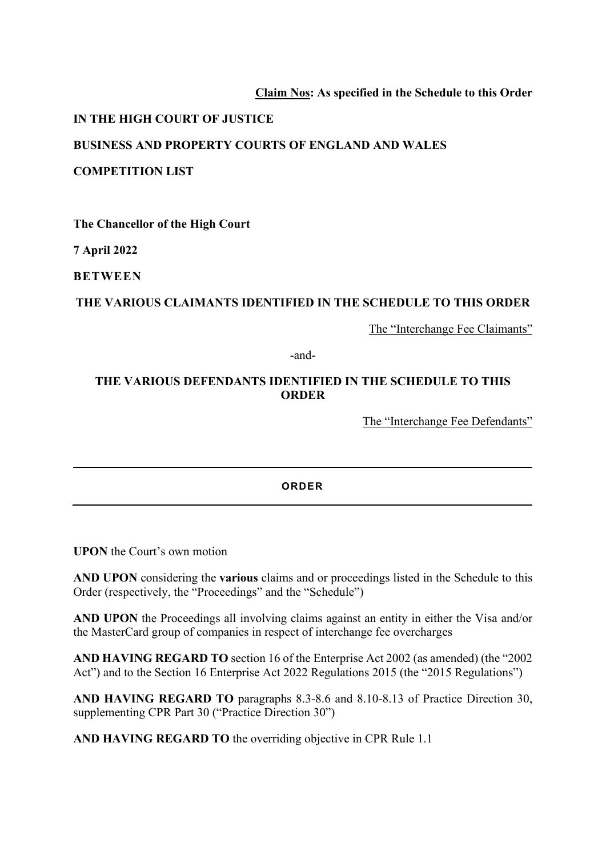## **Claim Nos: As specified in the Schedule to this Order**

### **IN THE HIGH COURT OF JUSTICE**

#### **BUSINESS AND PROPERTY COURTS OF ENGLAND AND WALES**

#### **COMPETITION LIST**

**The Chancellor of the High Court**

**7 April 2022** 

**BETWEEN**

#### **THE VARIOUS CLAIMANTS IDENTIFIED IN THE SCHEDULE TO THIS ORDER**

The "Interchange Fee Claimants"

-and-

## **THE VARIOUS DEFENDANTS IDENTIFIED IN THE SCHEDULE TO THIS ORDER**

The "Interchange Fee Defendants"

#### **ORDER**

**UPON** the Court's own motion

**AND UPON** considering the **various** claims and or proceedings listed in the Schedule to this Order (respectively, the "Proceedings" and the "Schedule")

**AND UPON** the Proceedings all involving claims against an entity in either the Visa and/or the MasterCard group of companies in respect of interchange fee overcharges

**AND HAVING REGARD TO** section 16 of the Enterprise Act 2002 (as amended) (the "2002 Act") and to the Section 16 Enterprise Act 2022 Regulations 2015 (the "2015 Regulations")

**AND HAVING REGARD TO** paragraphs 8.3-8.6 and 8.10-8.13 of Practice Direction 30, supplementing CPR Part 30 ("Practice Direction 30")

**AND HAVING REGARD TO** the overriding objective in CPR Rule 1.1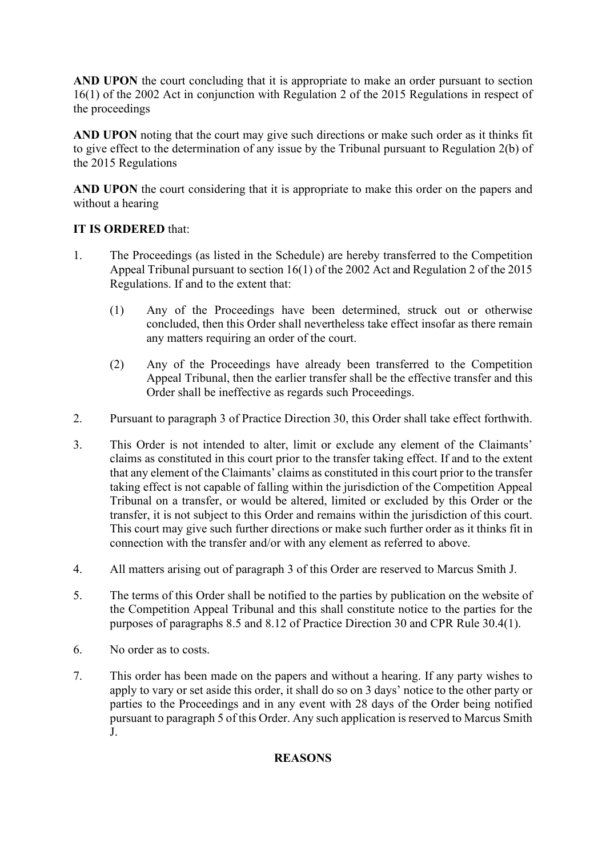**AND UPON** the court concluding that it is appropriate to make an order pursuant to section 16(1) of the 2002 Act in conjunction with Regulation 2 of the 2015 Regulations in respect of the proceedings

**AND UPON** noting that the court may give such directions or make such order as it thinks fit to give effect to the determination of any issue by the Tribunal pursuant to Regulation 2(b) of the 2015 Regulations

**AND UPON** the court considering that it is appropriate to make this order on the papers and without a hearing

## **IT IS ORDERED** that:

- 1. The Proceedings (as listed in the Schedule) are hereby transferred to the Competition Appeal Tribunal pursuant to section 16(1) of the 2002 Act and Regulation 2 of the 2015 Regulations. If and to the extent that:
	- (1) Any of the Proceedings have been determined, struck out or otherwise concluded, then this Order shall nevertheless take effect insofar as there remain any matters requiring an order of the court.
	- (2) Any of the Proceedings have already been transferred to the Competition Appeal Tribunal, then the earlier transfer shall be the effective transfer and this Order shall be ineffective as regards such Proceedings.
- 2. Pursuant to paragraph 3 of Practice Direction 30, this Order shall take effect forthwith.
- 3. This Order is not intended to alter, limit or exclude any element of the Claimants' claims as constituted in this court prior to the transfer taking effect. If and to the extent that any element of the Claimants' claims as constituted in this court prior to the transfer taking effect is not capable of falling within the jurisdiction of the Competition Appeal Tribunal on a transfer, or would be altered, limited or excluded by this Order or the transfer, it is not subject to this Order and remains within the jurisdiction of this court. This court may give such further directions or make such further order as it thinks fit in connection with the transfer and/or with any element as referred to above.
- 4. All matters arising out of paragraph 3 of this Order are reserved to Marcus Smith J.
- 5. The terms of this Order shall be notified to the parties by publication on the website of the Competition Appeal Tribunal and this shall constitute notice to the parties for the purposes of paragraphs 8.5 and 8.12 of Practice Direction 30 and CPR Rule 30.4(1).
- 6. No order as to costs.
- 7. This order has been made on the papers and without a hearing. If any party wishes to apply to vary or set aside this order, it shall do so on 3 days' notice to the other party or parties to the Proceedings and in any event with 28 days of the Order being notified pursuant to paragraph 5 of this Order. Any such application is reserved to Marcus Smith J.

## **REASONS**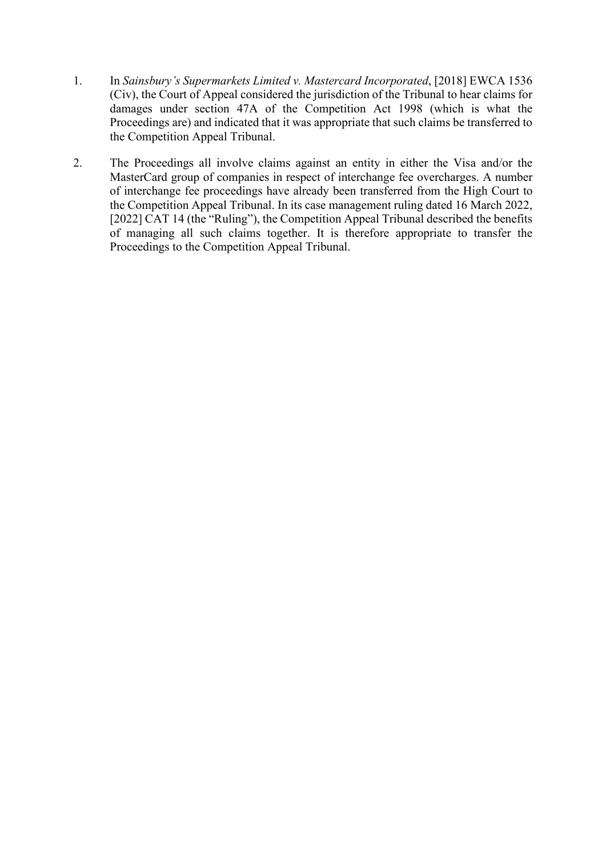- 1. In *Sainsbury's Supermarkets Limited v. Mastercard Incorporated*, [2018] EWCA 1536 (Civ), the Court of Appeal considered the jurisdiction of the Tribunal to hear claims for damages under section 47A of the Competition Act 1998 (which is what the Proceedings are) and indicated that it was appropriate that such claims be transferred to the Competition Appeal Tribunal.
- 2. The Proceedings all involve claims against an entity in either the Visa and/or the MasterCard group of companies in respect of interchange fee overcharges. A number of interchange fee proceedings have already been transferred from the High Court to the Competition Appeal Tribunal. In its case management ruling dated 16 March 2022, [2022] CAT 14 (the "Ruling"), the Competition Appeal Tribunal described the benefits of managing all such claims together. It is therefore appropriate to transfer the Proceedings to the Competition Appeal Tribunal.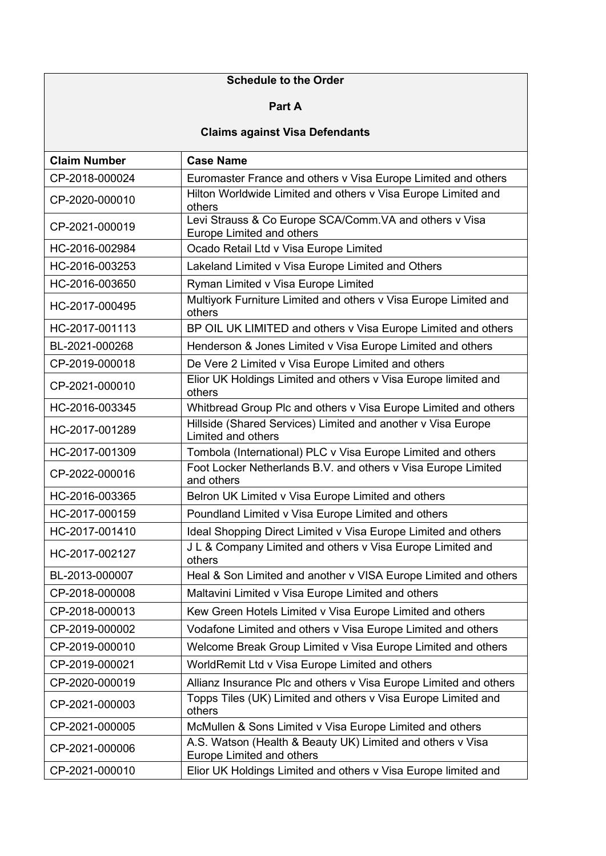# **Schedule to the Order**

### **Part A**

# **Claims against Visa Defendants**

| <b>Claim Number</b> | <b>Case Name</b>                                                                               |
|---------------------|------------------------------------------------------------------------------------------------|
| CP-2018-000024      | Euromaster France and others v Visa Europe Limited and others                                  |
| CP-2020-000010      | Hilton Worldwide Limited and others v Visa Europe Limited and<br>others                        |
| CP-2021-000019      | Levi Strauss & Co Europe SCA/Comm.VA and others v Visa<br>Europe Limited and others            |
| HC-2016-002984      | Ocado Retail Ltd v Visa Europe Limited                                                         |
| HC-2016-003253      | Lakeland Limited v Visa Europe Limited and Others                                              |
| HC-2016-003650      | Ryman Limited v Visa Europe Limited                                                            |
| HC-2017-000495      | Multiyork Furniture Limited and others v Visa Europe Limited and<br>others                     |
| HC-2017-001113      | BP OIL UK LIMITED and others v Visa Europe Limited and others                                  |
| BL-2021-000268      | Henderson & Jones Limited v Visa Europe Limited and others                                     |
| CP-2019-000018      | De Vere 2 Limited v Visa Europe Limited and others                                             |
| CP-2021-000010      | Elior UK Holdings Limited and others v Visa Europe limited and<br>others                       |
| HC-2016-003345      | Whitbread Group Plc and others v Visa Europe Limited and others                                |
| HC-2017-001289      | Hillside (Shared Services) Limited and another v Visa Europe<br>Limited and others             |
| HC-2017-001309      | Tombola (International) PLC v Visa Europe Limited and others                                   |
| CP-2022-000016      | Foot Locker Netherlands B.V. and others v Visa Europe Limited<br>and others                    |
| HC-2016-003365      | Belron UK Limited v Visa Europe Limited and others                                             |
| HC-2017-000159      | Poundland Limited v Visa Europe Limited and others                                             |
| HC-2017-001410      | Ideal Shopping Direct Limited v Visa Europe Limited and others                                 |
| HC-2017-002127      | J L & Company Limited and others v Visa Europe Limited and<br>others                           |
| BL-2013-000007      | Heal & Son Limited and another v VISA Europe Limited and others                                |
| CP-2018-000008      | Maltavini Limited v Visa Europe Limited and others                                             |
| CP-2018-000013      | Kew Green Hotels Limited v Visa Europe Limited and others                                      |
| CP-2019-000002      | Vodafone Limited and others v Visa Europe Limited and others                                   |
| CP-2019-000010      | Welcome Break Group Limited v Visa Europe Limited and others                                   |
| CP-2019-000021      | WorldRemit Ltd v Visa Europe Limited and others                                                |
| CP-2020-000019      | Allianz Insurance Plc and others v Visa Europe Limited and others                              |
| CP-2021-000003      | Topps Tiles (UK) Limited and others v Visa Europe Limited and<br>others                        |
| CP-2021-000005      | McMullen & Sons Limited v Visa Europe Limited and others                                       |
| CP-2021-000006      | A.S. Watson (Health & Beauty UK) Limited and others v Visa<br><b>Europe Limited and others</b> |
| CP-2021-000010      | Elior UK Holdings Limited and others v Visa Europe limited and                                 |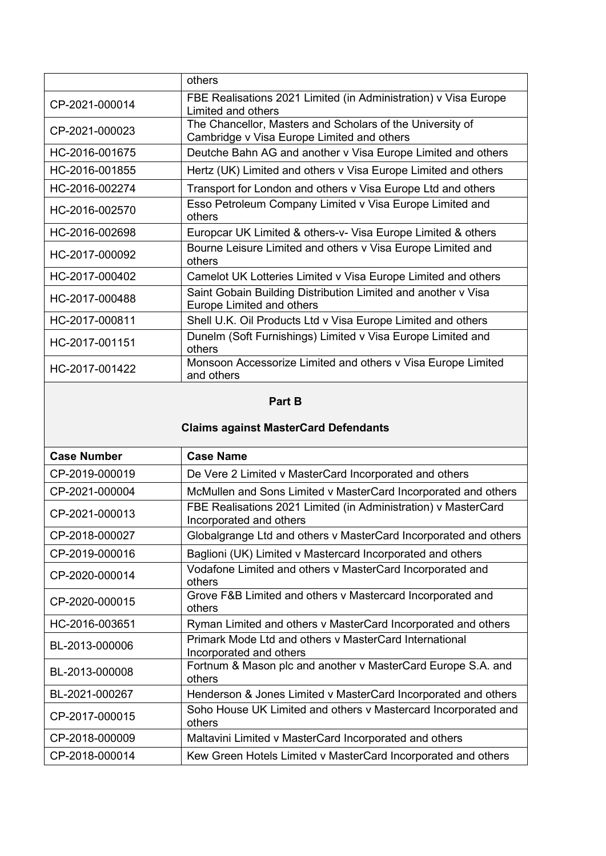|                | others                                                                                                  |
|----------------|---------------------------------------------------------------------------------------------------------|
| CP-2021-000014 | FBE Realisations 2021 Limited (in Administration) v Visa Europe<br>Limited and others                   |
| CP-2021-000023 | The Chancellor, Masters and Scholars of the University of<br>Cambridge v Visa Europe Limited and others |
| HC-2016-001675 | Deutche Bahn AG and another v Visa Europe Limited and others                                            |
| HC-2016-001855 | Hertz (UK) Limited and others v Visa Europe Limited and others                                          |
| HC-2016-002274 | Transport for London and others v Visa Europe Ltd and others                                            |
| HC-2016-002570 | Esso Petroleum Company Limited v Visa Europe Limited and<br>others                                      |
| HC-2016-002698 | Europcar UK Limited & others-v- Visa Europe Limited & others                                            |
| HC-2017-000092 | Bourne Leisure Limited and others v Visa Europe Limited and<br>others                                   |
| HC-2017-000402 | Camelot UK Lotteries Limited v Visa Europe Limited and others                                           |
| HC-2017-000488 | Saint Gobain Building Distribution Limited and another v Visa<br>Europe Limited and others              |
| HC-2017-000811 | Shell U.K. Oil Products Ltd v Visa Europe Limited and others                                            |
| HC-2017-001151 | Dunelm (Soft Furnishings) Limited v Visa Europe Limited and<br>others                                   |
| HC-2017-001422 | Monsoon Accessorize Limited and others v Visa Europe Limited<br>and others                              |

## **Part B**

# **Claims against MasterCard Defendants**

| <b>Case Number</b> | <b>Case Name</b>                                                                          |
|--------------------|-------------------------------------------------------------------------------------------|
| CP-2019-000019     | De Vere 2 Limited v MasterCard Incorporated and others                                    |
| CP-2021-000004     | McMullen and Sons Limited v MasterCard Incorporated and others                            |
| CP-2021-000013     | FBE Realisations 2021 Limited (in Administration) v MasterCard<br>Incorporated and others |
| CP-2018-000027     | Globalgrange Ltd and others v MasterCard Incorporated and others                          |
| CP-2019-000016     | Baglioni (UK) Limited v Mastercard Incorporated and others                                |
| CP-2020-000014     | Vodafone Limited and others v MasterCard Incorporated and<br>others                       |
| CP-2020-000015     | Grove F&B Limited and others v Mastercard Incorporated and<br>others                      |
| HC-2016-003651     | Ryman Limited and others v MasterCard Incorporated and others                             |
| BL-2013-000006     | Primark Mode Ltd and others y MasterCard International<br>Incorporated and others         |
| BL-2013-000008     | Fortnum & Mason plc and another v MasterCard Europe S.A. and<br>others                    |
| BL-2021-000267     | Henderson & Jones Limited v MasterCard Incorporated and others                            |
| CP-2017-000015     | Soho House UK Limited and others v Mastercard Incorporated and<br>others                  |
| CP-2018-000009     | Maltavini Limited v MasterCard Incorporated and others                                    |
| CP-2018-000014     | Kew Green Hotels Limited v MasterCard Incorporated and others                             |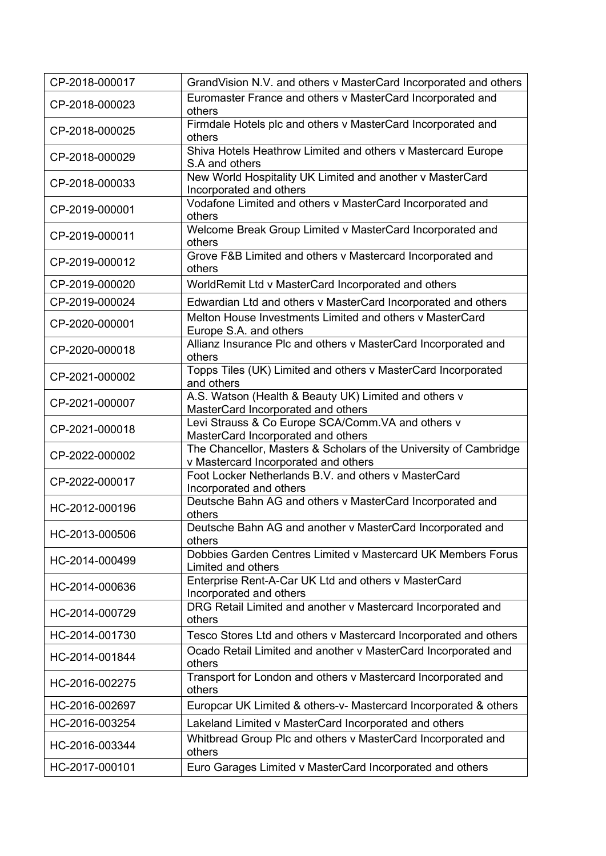| CP-2018-000017 | GrandVision N.V. and others v MasterCard Incorporated and others                                          |
|----------------|-----------------------------------------------------------------------------------------------------------|
| CP-2018-000023 | Euromaster France and others v MasterCard Incorporated and<br>others                                      |
| CP-2018-000025 | Firmdale Hotels plc and others v MasterCard Incorporated and<br>others                                    |
| CP-2018-000029 | Shiva Hotels Heathrow Limited and others v Mastercard Europe<br>S.A and others                            |
| CP-2018-000033 | New World Hospitality UK Limited and another v MasterCard<br>Incorporated and others                      |
| CP-2019-000001 | Vodafone Limited and others v MasterCard Incorporated and<br>others                                       |
| CP-2019-000011 | Welcome Break Group Limited v MasterCard Incorporated and<br>others                                       |
| CP-2019-000012 | Grove F&B Limited and others v Mastercard Incorporated and<br>others                                      |
| CP-2019-000020 | WorldRemit Ltd v MasterCard Incorporated and others                                                       |
| CP-2019-000024 | Edwardian Ltd and others v MasterCard Incorporated and others                                             |
| CP-2020-000001 | Melton House Investments Limited and others y MasterCard<br>Europe S.A. and others                        |
| CP-2020-000018 | Allianz Insurance Plc and others v MasterCard Incorporated and<br>others                                  |
| CP-2021-000002 | Topps Tiles (UK) Limited and others v MasterCard Incorporated<br>and others                               |
| CP-2021-000007 | A.S. Watson (Health & Beauty UK) Limited and others v<br>MasterCard Incorporated and others               |
| CP-2021-000018 | Levi Strauss & Co Europe SCA/Comm. VA and others v<br>MasterCard Incorporated and others                  |
| CP-2022-000002 | The Chancellor, Masters & Scholars of the University of Cambridge<br>v Mastercard Incorporated and others |
| CP-2022-000017 | Foot Locker Netherlands B.V. and others v MasterCard<br>Incorporated and others                           |
| HC-2012-000196 | Deutsche Bahn AG and others v MasterCard Incorporated and<br>others                                       |
| HC-2013-000506 | Deutsche Bahn AG and another v MasterCard Incorporated and<br>others                                      |
| HC-2014-000499 | Dobbies Garden Centres Limited v Mastercard UK Members Forus<br>Limited and others                        |
| HC-2014-000636 | Enterprise Rent-A-Car UK Ltd and others v MasterCard<br>Incorporated and others                           |
| HC-2014-000729 | DRG Retail Limited and another v Mastercard Incorporated and<br>others                                    |
| HC-2014-001730 | Tesco Stores Ltd and others v Mastercard Incorporated and others                                          |
| HC-2014-001844 | Ocado Retail Limited and another v MasterCard Incorporated and<br>others                                  |
| HC-2016-002275 | Transport for London and others v Mastercard Incorporated and<br>others                                   |
| HC-2016-002697 | Europcar UK Limited & others-v- Mastercard Incorporated & others                                          |
| HC-2016-003254 | Lakeland Limited v MasterCard Incorporated and others                                                     |
| HC-2016-003344 | Whitbread Group Plc and others v MasterCard Incorporated and<br>others                                    |
| HC-2017-000101 | Euro Garages Limited v MasterCard Incorporated and others                                                 |